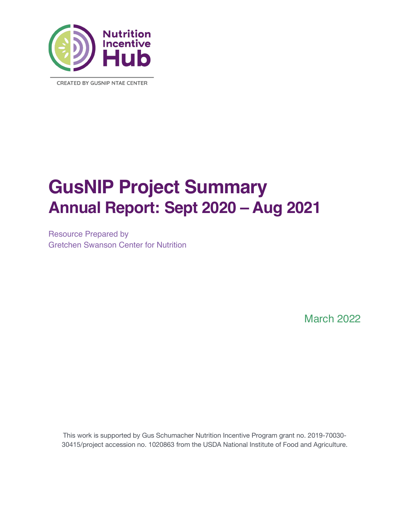

**CREATED BY GUSNIP NTAE CENTER** 

# **GusNIP Project Summary Annual Report: Sept 2020 – Aug 2021**

Resource Prepared by Gretchen Swanson Center for Nutrition

March 2022

This work is supported by Gus Schumacher Nutrition Incentive Program grant no. 2019-70030- 30415/project accession no. 1020863 from the USDA National Institute of Food and Agriculture.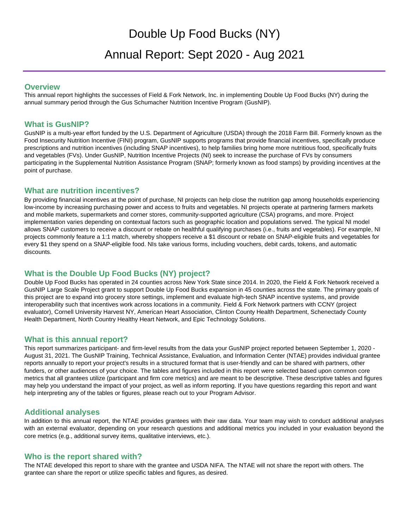# Double Up Food Bucks (NY) Annual Report: Sept 2020 - Aug 2021

#### **Overview**

This annual report highlights the successes of Field & Fork Network, Inc. in implementing Double Up Food Bucks (NY) during the annual summary period through the Gus Schumacher Nutrition Incentive Program (GusNIP).

### **What is GusNIP?**

GusNIP is a multi-year effort funded by the U.S. Department of Agriculture (USDA) through the 2018 Farm Bill. Formerly known as the Food Insecurity Nutrition Incentive (FINI) program, GusNIP supports programs that provide financial incentives, specifically produce prescriptions and nutrition incentives (including SNAP incentives), to help families bring home more nutritious food, specifically fruits and vegetables (FVs). Under GusNIP, Nutrition Incentive Projects (NI) seek to increase the purchase of FVs by consumers participating in the Supplemental Nutrition Assistance Program (SNAP; formerly known as food stamps) by providing incentives at the point of purchase.

### **What are nutrition incentives?**

By providing financial incentives at the point of purchase, NI projects can help close the nutrition gap among households experiencing low-income by increasing purchasing power and access to fruits and vegetables. NI projects operate at partnering farmers markets and mobile markets, supermarkets and corner stores, community-supported agriculture (CSA) programs, and more. Project implementation varies depending on contextual factors such as geographic location and populations served. The typical NI model allows SNAP customers to receive a discount or rebate on healthful qualifying purchases (i.e., fruits and vegetables). For example, NI projects commonly feature a 1:1 match, whereby shoppers receive a \$1 discount or rebate on SNAP-eligible fruits and vegetables for every \$1 they spend on a SNAP-eligible food. NIs take various forms, including vouchers, debit cards, tokens, and automatic discounts.

## **What is the Double Up Food Bucks (NY) project?**

Double Up Food Bucks has operated in 24 counties across New York State since 2014. In 2020, the Field & Fork Network received a GusNIP Large Scale Project grant to support Double Up Food Bucks expansion in 45 counties across the state. The primary goals of this project are to expand into grocery store settings, implement and evaluate high-tech SNAP incentive systems, and provide interoperability such that incentives work across locations in a community. Field & Fork Network partners with CCNY (project evaluator), Cornell University Harvest NY, American Heart Association, Clinton County Health Department, Schenectady County Health Department, North Country Healthy Heart Network, and Epic Technology Solutions.

### **What is this annual report?**

This report summarizes participant- and firm-level results from the data your GusNIP project reported between September 1, 2020 - August 31, 2021. The GusNIP Training, Technical Assistance, Evaluation, and Information Center (NTAE) provides individual grantee reports annually to report your project's results in a structured format that is user-friendly and can be shared with partners, other funders, or other audiences of your choice. The tables and figures included in this report were selected based upon common core metrics that all grantees utilize (participant and firm core metrics) and are meant to be descriptive. These descriptive tables and figures may help you understand the impact of your project, as well as inform reporting. If you have questions regarding this report and want help interpreting any of the tables or figures, please reach out to your Program Advisor.

### **Additional analyses**

In addition to this annual report, the NTAE provides grantees with their raw data. Your team may wish to conduct additional analyses with an external evaluator, depending on your research questions and additional metrics you included in your evaluation beyond the core metrics (e.g., additional survey items, qualitative interviews, etc.).

### **Who is the report shared with?**

The NTAE developed this report to share with the grantee and USDA NIFA. The NTAE will not share the report with others. The grantee can share the report or utilize specific tables and figures, as desired.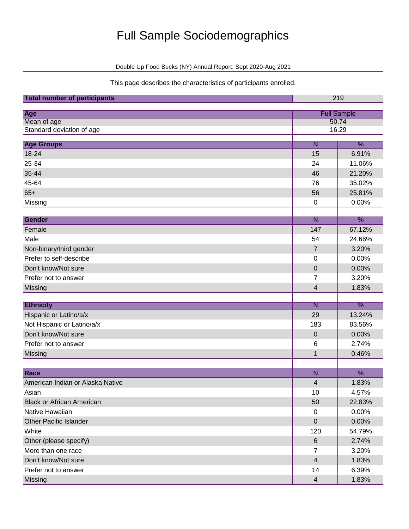# Full Sample Sociodemographics

Double Up Food Bucks (NY) Annual Report: Sept 2020-Aug 2021

This page describes the characteristics of participants enrolled.

| <b>Full Sample</b><br>Age<br>Mean of age<br>50.74<br>Standard deviation of age<br>16.29<br><b>Age Groups</b><br>$\frac{9}{6}$<br>$\overline{\mathsf{N}}$<br>18-24<br>15<br>6.91%<br>25-34<br>11.06%<br>24<br>35-44<br>21.20%<br>46<br>45-64<br>35.02%<br>76<br>$65+$<br>25.81%<br>56<br>0.00%<br>Missing<br>$\pmb{0}$<br>$\frac{9}{6}$<br><b>Gender</b><br>$\overline{\mathsf{N}}$<br>Female<br>147<br>67.12%<br>Male<br>54<br>24.66%<br>Non-binary/third gender<br>3.20%<br>$\overline{7}$<br>Prefer to self-describe<br>0.00%<br>0<br>Don't know/Not sure<br>$\mathbf 0$<br>0.00%<br>Prefer not to answer<br>3.20%<br>7<br>Missing<br>4<br>1.83%<br>$\frac{9}{6}$<br>$\overline{\mathsf{N}}$<br><b>Ethnicity</b><br>Hispanic or Latino/a/x<br>29<br>13.24%<br>Not Hispanic or Latino/a/x<br>83.56%<br>183<br>Don't know/Not sure<br>0.00%<br>$\pmb{0}$ | <b>Total number of participants</b><br>219 |  |  |  |  |
|----------------------------------------------------------------------------------------------------------------------------------------------------------------------------------------------------------------------------------------------------------------------------------------------------------------------------------------------------------------------------------------------------------------------------------------------------------------------------------------------------------------------------------------------------------------------------------------------------------------------------------------------------------------------------------------------------------------------------------------------------------------------------------------------------------------------------------------------------------|--------------------------------------------|--|--|--|--|
|                                                                                                                                                                                                                                                                                                                                                                                                                                                                                                                                                                                                                                                                                                                                                                                                                                                          |                                            |  |  |  |  |
|                                                                                                                                                                                                                                                                                                                                                                                                                                                                                                                                                                                                                                                                                                                                                                                                                                                          |                                            |  |  |  |  |
|                                                                                                                                                                                                                                                                                                                                                                                                                                                                                                                                                                                                                                                                                                                                                                                                                                                          |                                            |  |  |  |  |
|                                                                                                                                                                                                                                                                                                                                                                                                                                                                                                                                                                                                                                                                                                                                                                                                                                                          |                                            |  |  |  |  |
|                                                                                                                                                                                                                                                                                                                                                                                                                                                                                                                                                                                                                                                                                                                                                                                                                                                          |                                            |  |  |  |  |
|                                                                                                                                                                                                                                                                                                                                                                                                                                                                                                                                                                                                                                                                                                                                                                                                                                                          |                                            |  |  |  |  |
|                                                                                                                                                                                                                                                                                                                                                                                                                                                                                                                                                                                                                                                                                                                                                                                                                                                          |                                            |  |  |  |  |
|                                                                                                                                                                                                                                                                                                                                                                                                                                                                                                                                                                                                                                                                                                                                                                                                                                                          |                                            |  |  |  |  |
|                                                                                                                                                                                                                                                                                                                                                                                                                                                                                                                                                                                                                                                                                                                                                                                                                                                          |                                            |  |  |  |  |
|                                                                                                                                                                                                                                                                                                                                                                                                                                                                                                                                                                                                                                                                                                                                                                                                                                                          |                                            |  |  |  |  |
|                                                                                                                                                                                                                                                                                                                                                                                                                                                                                                                                                                                                                                                                                                                                                                                                                                                          |                                            |  |  |  |  |
|                                                                                                                                                                                                                                                                                                                                                                                                                                                                                                                                                                                                                                                                                                                                                                                                                                                          |                                            |  |  |  |  |
|                                                                                                                                                                                                                                                                                                                                                                                                                                                                                                                                                                                                                                                                                                                                                                                                                                                          |                                            |  |  |  |  |
|                                                                                                                                                                                                                                                                                                                                                                                                                                                                                                                                                                                                                                                                                                                                                                                                                                                          |                                            |  |  |  |  |
|                                                                                                                                                                                                                                                                                                                                                                                                                                                                                                                                                                                                                                                                                                                                                                                                                                                          |                                            |  |  |  |  |
|                                                                                                                                                                                                                                                                                                                                                                                                                                                                                                                                                                                                                                                                                                                                                                                                                                                          |                                            |  |  |  |  |
|                                                                                                                                                                                                                                                                                                                                                                                                                                                                                                                                                                                                                                                                                                                                                                                                                                                          |                                            |  |  |  |  |
|                                                                                                                                                                                                                                                                                                                                                                                                                                                                                                                                                                                                                                                                                                                                                                                                                                                          |                                            |  |  |  |  |
|                                                                                                                                                                                                                                                                                                                                                                                                                                                                                                                                                                                                                                                                                                                                                                                                                                                          |                                            |  |  |  |  |
|                                                                                                                                                                                                                                                                                                                                                                                                                                                                                                                                                                                                                                                                                                                                                                                                                                                          |                                            |  |  |  |  |
|                                                                                                                                                                                                                                                                                                                                                                                                                                                                                                                                                                                                                                                                                                                                                                                                                                                          |                                            |  |  |  |  |
|                                                                                                                                                                                                                                                                                                                                                                                                                                                                                                                                                                                                                                                                                                                                                                                                                                                          |                                            |  |  |  |  |
|                                                                                                                                                                                                                                                                                                                                                                                                                                                                                                                                                                                                                                                                                                                                                                                                                                                          |                                            |  |  |  |  |
|                                                                                                                                                                                                                                                                                                                                                                                                                                                                                                                                                                                                                                                                                                                                                                                                                                                          |                                            |  |  |  |  |
| Prefer not to answer<br>6<br>2.74%                                                                                                                                                                                                                                                                                                                                                                                                                                                                                                                                                                                                                                                                                                                                                                                                                       |                                            |  |  |  |  |
| Missing<br>0.46%<br>$\mathbf 1$                                                                                                                                                                                                                                                                                                                                                                                                                                                                                                                                                                                                                                                                                                                                                                                                                          |                                            |  |  |  |  |
| %                                                                                                                                                                                                                                                                                                                                                                                                                                                                                                                                                                                                                                                                                                                                                                                                                                                        |                                            |  |  |  |  |
| Race<br>$\overline{N}$<br>1.83%<br>American Indian or Alaska Native<br>$\overline{\mathbf{4}}$                                                                                                                                                                                                                                                                                                                                                                                                                                                                                                                                                                                                                                                                                                                                                           |                                            |  |  |  |  |
|                                                                                                                                                                                                                                                                                                                                                                                                                                                                                                                                                                                                                                                                                                                                                                                                                                                          |                                            |  |  |  |  |
| 4.57%<br>Asian<br>10<br><b>Black or African American</b><br>50<br>22.83%                                                                                                                                                                                                                                                                                                                                                                                                                                                                                                                                                                                                                                                                                                                                                                                 |                                            |  |  |  |  |
| Native Hawaiian<br>0.00%<br>$\mathbf 0$                                                                                                                                                                                                                                                                                                                                                                                                                                                                                                                                                                                                                                                                                                                                                                                                                  |                                            |  |  |  |  |
| Other Pacific Islander<br>0.00%<br>$\pmb{0}$                                                                                                                                                                                                                                                                                                                                                                                                                                                                                                                                                                                                                                                                                                                                                                                                             |                                            |  |  |  |  |
| White<br>120<br>54.79%                                                                                                                                                                                                                                                                                                                                                                                                                                                                                                                                                                                                                                                                                                                                                                                                                                   |                                            |  |  |  |  |
| Other (please specify)<br>$\,6\,$<br>2.74%                                                                                                                                                                                                                                                                                                                                                                                                                                                                                                                                                                                                                                                                                                                                                                                                               |                                            |  |  |  |  |
| More than one race<br>3.20%<br>$\overline{7}$                                                                                                                                                                                                                                                                                                                                                                                                                                                                                                                                                                                                                                                                                                                                                                                                            |                                            |  |  |  |  |
| Don't know/Not sure<br>$\overline{4}$<br>1.83%                                                                                                                                                                                                                                                                                                                                                                                                                                                                                                                                                                                                                                                                                                                                                                                                           |                                            |  |  |  |  |
| Prefer not to answer<br>6.39%<br>14                                                                                                                                                                                                                                                                                                                                                                                                                                                                                                                                                                                                                                                                                                                                                                                                                      |                                            |  |  |  |  |
| 1.83%<br>$\overline{4}$<br>Missing                                                                                                                                                                                                                                                                                                                                                                                                                                                                                                                                                                                                                                                                                                                                                                                                                       |                                            |  |  |  |  |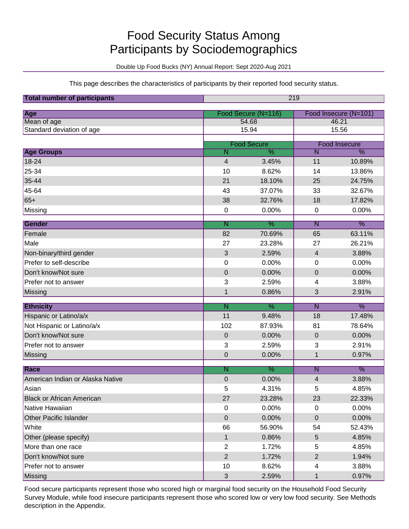# Food Security Status Among Participants by Sociodemographics

Double Up Food Bucks (NY) Annual Report: Sept 2020-Aug 2021

This page describes the characteristics of participants by their reported food security status.

| <b>Total number of participants</b> | 219                     |                     |                         |                      |  |
|-------------------------------------|-------------------------|---------------------|-------------------------|----------------------|--|
| Age                                 |                         | Food Secure (N=116) | Food Insecure (N=101)   |                      |  |
| Mean of age                         |                         | 54.68               |                         | 46.21                |  |
| Standard deviation of age           |                         | 15.94               |                         | 15.56                |  |
|                                     |                         | <b>Food Secure</b>  |                         | <b>Food Insecure</b> |  |
| <b>Age Groups</b>                   | $\overline{\mathsf{N}}$ | $\overline{\%}$     | $\overline{\mathsf{N}}$ | $\overline{\%}$      |  |
| 18-24                               | $\overline{4}$          | 3.45%               | 11                      | 10.89%               |  |
| 25-34                               | 10                      | 8.62%               | 14                      | 13.86%               |  |
| 35-44                               | 21                      | 18.10%              | 25                      | 24.75%               |  |
| 45-64                               | 43                      | 37.07%              | 33                      | 32.67%               |  |
| $65+$                               | 38                      | 32.76%              | 18                      | 17.82%               |  |
| Missing                             | $\pmb{0}$               | 0.00%               | 0                       | 0.00%                |  |
| Gender                              | $\overline{\mathsf{N}}$ | $\frac{9}{6}$       | $\overline{\mathsf{N}}$ | $\frac{9}{6}$        |  |
| Female                              | 82                      | 70.69%              | 65                      | 63.11%               |  |
| Male                                | 27                      | 23.28%              | 27                      | 26.21%               |  |
| Non-binary/third gender             | 3                       | 2.59%               | 4                       | 3.88%                |  |
| Prefer to self-describe             | 0                       | 0.00%               | 0                       | 0.00%                |  |
| Don't know/Not sure                 | $\boldsymbol{0}$        | 0.00%               | 0                       | 0.00%                |  |
| Prefer not to answer                | 3                       | 2.59%               | 4                       | 3.88%                |  |
| Missing                             | $\mathbf 1$             | 0.86%               | 3                       | 2.91%                |  |
| <b>Ethnicity</b>                    | $\overline{\mathsf{N}}$ | $\frac{9}{6}$       | $\overline{\mathsf{N}}$ | $\frac{9}{6}$        |  |
| Hispanic or Latino/a/x              | 11                      | 9.48%               | 18                      | 17.48%               |  |
| Not Hispanic or Latino/a/x          | 102                     | 87.93%              | 81                      | 78.64%               |  |
| Don't know/Not sure                 | $\pmb{0}$               | 0.00%               | 0                       | 0.00%                |  |
| Prefer not to answer                | 3                       | 2.59%               | 3                       | 2.91%                |  |
| Missing                             | $\pmb{0}$               | 0.00%               | 1                       | 0.97%                |  |
| Race                                | $\overline{\mathsf{N}}$ | $\frac{9}{6}$       | $\overline{\mathsf{N}}$ | $\frac{9}{6}$        |  |
| American Indian or Alaska Native    | $\mathbf 0$             | 0.00%               | 4                       | 3.88%                |  |
| Asian                               | 5                       | 4.31%               | 5                       | 4.85%                |  |
| <b>Black or African American</b>    | 27                      | 23.28%              | 23                      | 22.33%               |  |
| Native Hawaiian                     | $\pmb{0}$               | 0.00%               | 0                       | 0.00%                |  |
| <b>Other Pacific Islander</b>       | $\pmb{0}$               | 0.00%               | 0                       | 0.00%                |  |
| White                               | 66                      | 56.90%              | 54                      | 52.43%               |  |
| Other (please specify)              | $\mathbf{1}$            | 0.86%               | 5                       | 4.85%                |  |
| More than one race                  | $\mathbf{2}$            | 1.72%               | 5                       | 4.85%                |  |
| Don't know/Not sure                 | $\sqrt{2}$              | 1.72%               | $\overline{2}$          | 1.94%                |  |
| Prefer not to answer                | 10                      | 8.62%               | 4                       | 3.88%                |  |
| Missing                             | $\sqrt{3}$              | 2.59%               | 1                       | 0.97%                |  |

Food secure participants represent those who scored high or marginal food security on the Household Food Security Survey Module, while food insecure participants represent those who scored low or very low food security. See Methods description in the Appendix.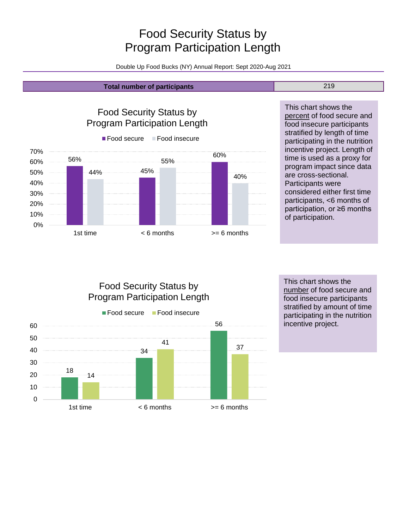# Food Security Status by Program Participation Length

Double Up Food Bucks (NY) Annual Report: Sept 2020-Aug 2021

#### **Total number of participants** 219

56% 45% 60% 44% 55% 40% 0% 10% 20% 30% 40% 50% 60% 70% 1st time  $\leq 6$  months  $\geq 6$  months Food Security Status by Program Participation Length ■ Food secure Food insecure

This chart shows the percent of food secure and food insecure participants stratified by length of time participating in the nutrition incentive project. Length of time is used as a proxy for program impact since data are cross-sectional. Participants were considered either first time participants, <6 months of participation, or ≥6 months of participation.

Food Security Status by Program Participation Length



This chart shows the number of food secure and food insecure participants stratified by amount of time participating in the nutrition incentive project.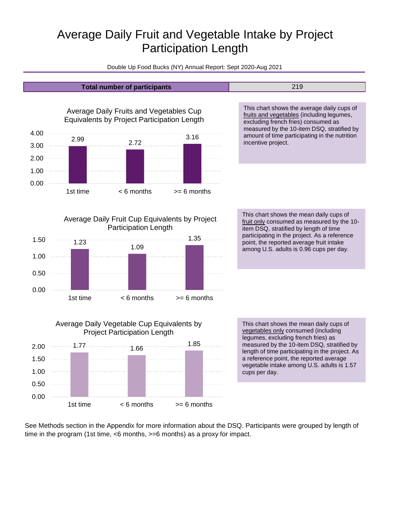# Average Daily Fruit and Vegetable Intake by Project Participation Length

Double Up Food Bucks (NY) Annual Report: Sept 2020-Aug 2021



See Methods section in the Appendix for more information about the DSQ. Participants were grouped by length of time in the program (1st time, <6 months, >=6 months) as a proxy for impact.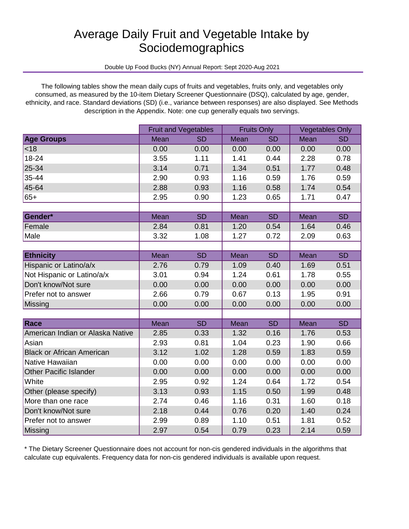# Average Daily Fruit and Vegetable Intake by **Sociodemographics**

Double Up Food Bucks (NY) Annual Report: Sept 2020-Aug 2021

The following tables show the mean daily cups of fruits and vegetables, fruits only, and vegetables only consumed, as measured by the 10-item Dietary Screener Questionnaire (DSQ), calculated by age, gender, ethnicity, and race. Standard deviations (SD) (i.e., variance between responses) are also displayed. See Methods description in the Appendix. Note: one cup generally equals two servings.

|                                  | <b>Fruit and Vegetables</b> |           | <b>Fruits Only</b> |           | <b>Vegetables Only</b> |           |
|----------------------------------|-----------------------------|-----------|--------------------|-----------|------------------------|-----------|
| <b>Age Groups</b>                | Mean                        | <b>SD</b> | Mean               | <b>SD</b> | Mean                   | <b>SD</b> |
| <18                              | 0.00                        | 0.00      | 0.00               | 0.00      | 0.00                   | 0.00      |
| 18-24                            | 3.55                        | 1.11      | 1.41               | 0.44      | 2.28                   | 0.78      |
| 25-34                            | 3.14                        | 0.71      | 1.34               | 0.51      | 1.77                   | 0.48      |
| 35-44                            | 2.90                        | 0.93      | 1.16               | 0.59      | 1.76                   | 0.59      |
| 45-64                            | 2.88                        | 0.93      | 1.16               | 0.58      | 1.74                   | 0.54      |
| $65+$                            | 2.95                        | 0.90      | 1.23               | 0.65      | 1.71                   | 0.47      |
|                                  |                             |           |                    |           |                        |           |
| Gender*                          | Mean                        | <b>SD</b> | Mean               | <b>SD</b> | Mean                   | <b>SD</b> |
| Female                           | 2.84                        | 0.81      | 1.20               | 0.54      | 1.64                   | 0.46      |
| Male                             | 3.32                        | 1.08      | 1.27               | 0.72      | 2.09                   | 0.63      |
|                                  |                             |           |                    |           |                        |           |
| <b>Ethnicity</b>                 | Mean                        | <b>SD</b> | Mean               | <b>SD</b> | Mean                   | <b>SD</b> |
| Hispanic or Latino/a/x           | 2.76                        | 0.79      | 1.09               | 0.40      | 1.69                   | 0.51      |
| Not Hispanic or Latino/a/x       | 3.01                        | 0.94      | 1.24               | 0.61      | 1.78                   | 0.55      |
| Don't know/Not sure              | 0.00                        | 0.00      | 0.00               | 0.00      | 0.00                   | 0.00      |
| Prefer not to answer             | 2.66                        | 0.79      | 0.67               | 0.13      | 1.95                   | 0.91      |
| Missing                          | 0.00                        | 0.00      | 0.00               | 0.00      | 0.00                   | 0.00      |
|                                  |                             |           |                    |           |                        |           |
| Race                             | Mean                        | <b>SD</b> | Mean               | <b>SD</b> | Mean                   | <b>SD</b> |
| American Indian or Alaska Native | 2.85                        | 0.33      | 1.32               | 0.16      | 1.76                   | 0.53      |
| Asian                            | 2.93                        | 0.81      | 1.04               | 0.23      | 1.90                   | 0.66      |
| <b>Black or African American</b> | 3.12                        | 1.02      | 1.28               | 0.59      | 1.83                   | 0.59      |
| Native Hawaiian                  | 0.00                        | 0.00      | 0.00               | 0.00      | 0.00                   | 0.00      |
| <b>Other Pacific Islander</b>    | 0.00                        | 0.00      | 0.00               | 0.00      | 0.00                   | 0.00      |
| White                            | 2.95                        | 0.92      | 1.24               | 0.64      | 1.72                   | 0.54      |
| Other (please specify)           | 3.13                        | 0.93      | 1.15               | 0.50      | 1.99                   | 0.48      |
| More than one race               | 2.74                        | 0.46      | 1.16               | 0.31      | 1.60                   | 0.18      |
| Don't know/Not sure              | 2.18                        | 0.44      | 0.76               | 0.20      | 1.40                   | 0.24      |
| Prefer not to answer             | 2.99                        | 0.89      | 1.10               | 0.51      | 1.81                   | 0.52      |
| Missing                          | 2.97                        | 0.54      | 0.79               | 0.23      | 2.14                   | 0.59      |

\* The Dietary Screener Questionnaire does not account for non-cis gendered individuals in the algorithms that calculate cup equivalents. Frequency data for non-cis gendered individuals is available upon request.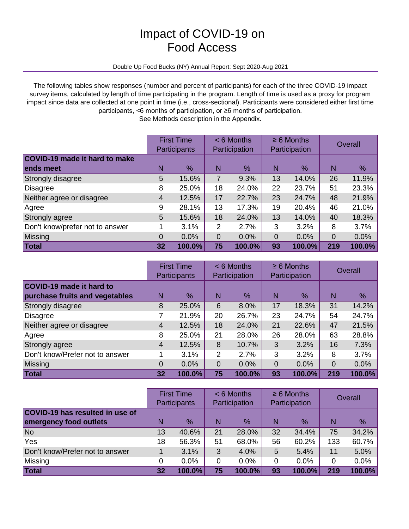# Impact of COVID-19 on Food Access

#### Double Up Food Bucks (NY) Annual Report: Sept 2020-Aug 2021

The following tables show responses (number and percent of participants) for each of the three COVID-19 impact survey items, calculated by length of time participating in the program. Length of time is used as a proxy for program impact since data are collected at one point in time (i.e., cross-sectional). Participants were considered either first time participants, <6 months of participation, or ≥6 months of participation.

See Methods description in the Appendix.

|                                                   |    | <b>First Time</b><br><b>Participants</b> |                | $< 6$ Months<br>Participation |          | $\geq 6$ Months<br>Participation |                | Overall |
|---------------------------------------------------|----|------------------------------------------|----------------|-------------------------------|----------|----------------------------------|----------------|---------|
| <b>COVID-19 made it hard to make</b><br>ends meet | N  | %                                        | N              | $\frac{9}{6}$                 | N        | %                                | $\overline{N}$ | %       |
| Strongly disagree                                 | 5  | 15.6%                                    | 7              | 9.3%                          | 13       | 14.0%                            | 26             | 11.9%   |
| Disagree                                          | 8  | 25.0%                                    | 18             | 24.0%                         | 22       | 23.7%                            | 51             | 23.3%   |
| Neither agree or disagree                         | 4  | 12.5%                                    | 17             | 22.7%                         | 23       | 24.7%                            | 48             | 21.9%   |
| Agree                                             | 9  | 28.1%                                    | 13             | 17.3%                         | 19       | 20.4%                            | 46             | 21.0%   |
| Strongly agree                                    | 5  | 15.6%                                    | 18             | 24.0%                         | 13       | 14.0%                            | 40             | 18.3%   |
| Don't know/prefer not to answer                   | 1  | 3.1%                                     | 2              | 2.7%                          | 3        | 3.2%                             | 8              | 3.7%    |
| Missing                                           | 0  | 0.0%                                     | $\overline{0}$ | 0.0%                          | $\Omega$ | 0.0%                             | $\overline{0}$ | 0.0%    |
| Total                                             | 32 | 100.0%                                   | 75             | 100.0%                        | 93       | 100.0%                           | 219            | 100.0%  |

|                                                            |    | <b>First Time</b><br><b>Participants</b> |                | $< 6$ Months<br>Participation |    | $\geq 6$ Months<br>Participation |     | Overall |
|------------------------------------------------------------|----|------------------------------------------|----------------|-------------------------------|----|----------------------------------|-----|---------|
| COVID-19 made it hard to<br>purchase fruits and vegetables | N  | %                                        | N              | %                             | N  | $\%$                             | N   | %       |
| Strongly disagree                                          | 8  | 25.0%                                    | 6              | 8.0%                          | 17 | 18.3%                            | 31  | 14.2%   |
| Disagree                                                   | 7  | 21.9%                                    | 20             | 26.7%                         | 23 | 24.7%                            | 54  | 24.7%   |
| Neither agree or disagree                                  | 4  | 12.5%                                    | 18             | 24.0%                         | 21 | 22.6%                            | 47  | 21.5%   |
| Agree                                                      | 8  | 25.0%                                    | 21             | 28.0%                         | 26 | 28.0%                            | 63  | 28.8%   |
| Strongly agree                                             | 4  | 12.5%                                    | 8              | 10.7%                         | 3  | 3.2%                             | 16  | 7.3%    |
| Don't know/Prefer not to answer                            | 1  | 3.1%                                     | $\overline{2}$ | 2.7%                          | 3  | 3.2%                             | 8   | 3.7%    |
| Missing                                                    | 0  | 0.0%                                     | 0              | 0.0%                          | 0  | 0.0%                             | 0   | 0.0%    |
| Total                                                      | 32 | 100.0%                                   | 75             | 100.0%                        | 93 | 100.0%                           | 219 | 100.0%  |

|                                        |    | <b>First Time</b><br>Participants |    | $< 6$ Months<br>Participation |    | $\geq 6$ Months<br>Participation |     | Overall |
|----------------------------------------|----|-----------------------------------|----|-------------------------------|----|----------------------------------|-----|---------|
| <b>COVID-19 has resulted in use of</b> |    |                                   |    |                               |    |                                  |     |         |
| emergency food outlets                 | N  | $\%$                              | N  | $\%$                          | N  | $\%$                             | N   | %       |
| No                                     | 13 | 40.6%                             | 21 | 28.0%                         | 32 | 34.4%                            | 75  | 34.2%   |
| <b>Yes</b>                             | 18 | 56.3%                             | 51 | 68.0%                         | 56 | 60.2%                            | 133 | 60.7%   |
| Don't know/Prefer not to answer        |    | 3.1%                              | 3  | 4.0%                          | 5  | 5.4%                             | 11  | 5.0%    |
| Missing                                | 0  | 0.0%                              | 0  | 0.0%                          | 0  | 0.0%                             | 0   | 0.0%    |
| Total                                  | 32 | 100.0%                            | 75 | 100.0%                        | 93 | 100.0%                           | 219 | 100.0%  |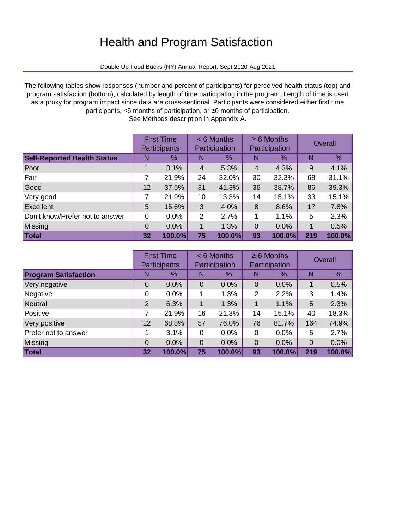# Health and Program Satisfaction

Double Up Food Bucks (NY) Annual Report: Sept 2020-Aug 2021

The following tables show responses (number and percent of participants) for perceived health status (top) and program satisfaction (bottom), calculated by length of time participating in the program. Length of time is used as a proxy for program impact since data are cross-sectional. Participants were considered either first time participants, <6 months of participation, or ≥6 months of participation.

|                                    |    | <b>First Time</b><br>Participants |    | $< 6$ Months<br>Participation |                | $\geq 6$ Months<br>Participation |     | Overall |
|------------------------------------|----|-----------------------------------|----|-------------------------------|----------------|----------------------------------|-----|---------|
| <b>Self-Reported Health Status</b> | N  | %                                 | N  | $\frac{0}{2}$                 |                | %                                | N   | %       |
| Poor                               |    | 3.1%                              | 4  | 5.3%                          | $\overline{4}$ | 4.3%                             | 9   | 4.1%    |
| Fair                               | 7  | 21.9%                             | 24 | 32.0%                         | 30             | 32.3%                            | 68  | 31.1%   |
| Good                               | 12 | 37.5%                             | 31 | 41.3%                         | 36             | 38.7%                            | 86  | 39.3%   |
| Very good                          | 7  | 21.9%                             | 10 | 13.3%                         | 14             | 15.1%                            | 33  | 15.1%   |
| Excellent                          | 5  | 15.6%                             | 3  | 4.0%                          | 8              | 8.6%                             | 17  | 7.8%    |
| Don't know/Prefer not to answer    | 0  | 0.0%                              | 2  | 2.7%                          |                | 1.1%                             | 5   | 2.3%    |
| Missing                            | 0  | 0.0%                              | 1  | 1.3%                          | $\Omega$       | 0.0%                             | 1   | 0.5%    |
| Total                              | 32 | 100.0%                            | 75 | 100.0%                        | 93             | 100.0%                           | 219 | 100.0%  |

See Methods description in Appendix A.

|                             |                | <b>First Time</b><br><b>Participants</b> |                | $< 6$ Months<br>Participation |             | $\geq 6$ Months<br>Participation |     | Overall |
|-----------------------------|----------------|------------------------------------------|----------------|-------------------------------|-------------|----------------------------------|-----|---------|
| <b>Program Satisfaction</b> | N              | %                                        | N              | $\%$                          | N           | %                                | N   | %       |
| Very negative               | $\Omega$       | 0.0%                                     | $\Omega$       | 0.0%                          | $\Omega$    | 0.0%                             |     | 0.5%    |
| Negative                    | 0              | 0.0%                                     | 1              | 1.3%                          | 2           | 2.2%                             | 3   | 1.4%    |
| Neutral                     | 2              | 6.3%                                     | 1              | 1.3%                          | 1           | 1.1%                             | 5   | 2.3%    |
| Positive                    | 7              | 21.9%                                    | 16             | 21.3%                         | 14          | 15.1%                            | 40  | 18.3%   |
| Very positive               | 22             | 68.8%                                    | 57             | 76.0%                         | 76          | 81.7%                            | 164 | 74.9%   |
| Prefer not to answer        |                | 3.1%                                     | 0              | 0.0%                          | $\Omega$    | 0.0%                             | 6   | 2.7%    |
| Missing                     | $\overline{0}$ | 0.0%                                     | $\overline{0}$ | 0.0%                          | $\mathbf 0$ | 0.0%                             | 0   | 0.0%    |
| Total                       | 32             | 100.0%                                   | 75             | 100.0%                        | 93          | 100.0%                           | 219 | 100.0%  |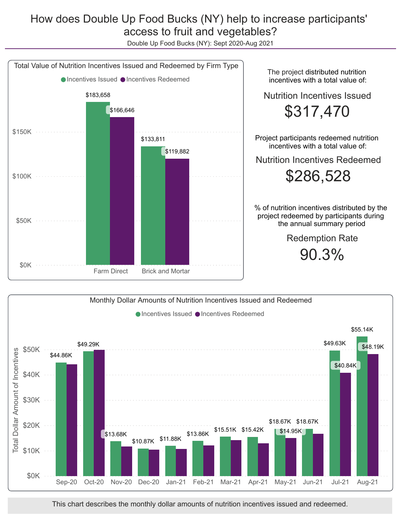## How does Double Up Food Bucks (NY) help to increase participants' access to fruit and vegetables?

Double Up Food Bucks (NY): Sept 2020-Aug 2021





This chart describes the monthly dollar amounts of nutrition incentives issued and redeemed.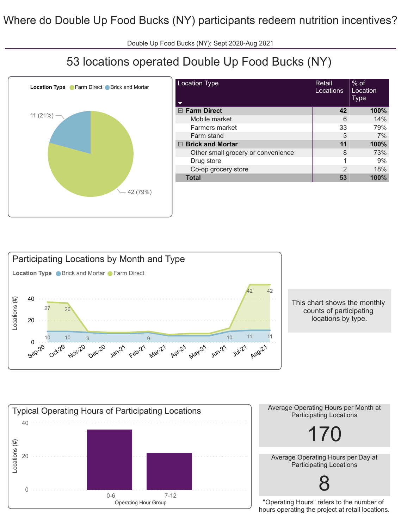Double Up Food Bucks (NY): Sept 2020-Aug 2021

# 53 locations operated Double Up Food Bucks (NY)



| <b>Location Type</b>               | Retail<br>Locations | $%$ of<br>Location<br>Type |
|------------------------------------|---------------------|----------------------------|
| $\Box$ Farm Direct                 | 42                  | 100%                       |
| Mobile market                      | 6                   | 14%                        |
| <b>Farmers market</b>              | 33                  | 79%                        |
| Farm stand                         | 3                   | 7%                         |
| $\boxdot$ Brick and Mortar         | 11                  | 100%                       |
| Other small grocery or convenience | 8                   | 73%                        |
| Drug store                         | 1                   | 9%                         |
| Co-op grocery store                | $\mathcal{P}$       | 18%                        |
| <b>Total</b>                       | 53                  | 100%                       |
|                                    |                     |                            |



This chart shows the monthly counts of participating locations by type.



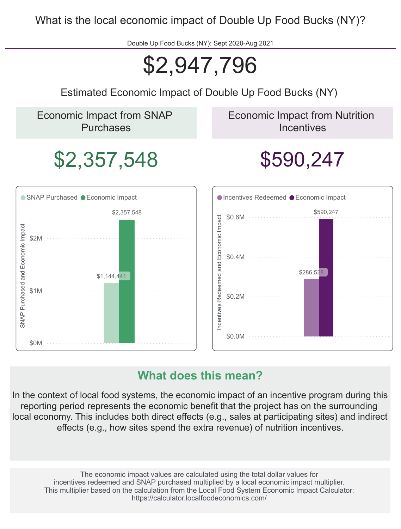What is the local economic impact of Double Up Food Bucks (NY)?

Double Up Food Bucks (NY): Sept 2020-Aug 2021

# \$2,947,796

Estimated Economic Impact of Double Up Food Bucks (NY)

Economic Impact from SNAP Purchases

Economic Impact from Nutrition **Incentives** 

# \$2,357,548 \$590,247



## **What does this mean?**

In the context of local food systems, the economic impact of an incentive program during this reporting period represents the economic benefit that the project has on the surrounding local economy. This includes both direct effects (e.g., sales at participating sites) and indirect effects (e.g., how sites spend the extra revenue) of nutrition incentives.

The economic impact values are calculated using the total dollar values for incentives redeemed and SNAP purchased multiplied by a local economic impact multiplier. This multiplier based on the calculation from the Local Food System Economic Impact Calculator: https://calculator.localfoodeconomics.com/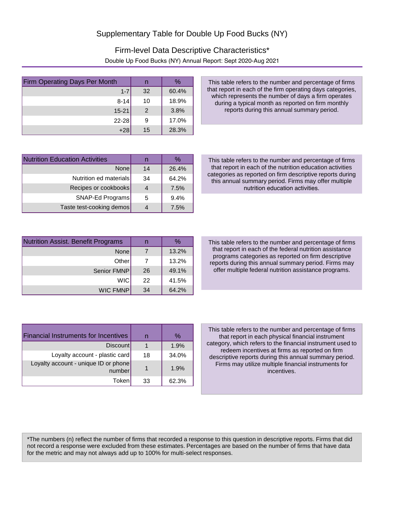## Firm-level Data Descriptive Characteristics\* Double Up Food Bucks (NY) Annual Report: Sept 2020-Aug 2021

| <b>Firm Operating Days Per Month</b> | n  | $\%$  |
|--------------------------------------|----|-------|
| $1 - 7$                              | 32 | 60.4% |
| $8 - 14$                             | 10 | 18.9% |
| $15 - 21$                            | 2  | 3.8%  |
| $22 - 28$                            | 9  | 17.0% |
| $+28$                                | 15 | 28.3% |

This table refers to the number and percentage of firms that report in each of the firm operating days categories, which represents the number of days a firm operates during a typical month as reported on firm monthly reports during this annual summary period.

| <b>Nutrition Education Activities</b> |    | ℅     |
|---------------------------------------|----|-------|
| Nonel                                 | 14 | 26.4% |
| Nutrition ed materials                | 34 | 64.2% |
| Recipes or cookbooks                  |    | 7.5%  |
| SNAP-Ed Programs                      | 5  | 9.4%  |
| Taste test-cooking demos              |    | 7.5%  |

This table refers to the number and percentage of firms that report in each of the nutrition education activities categories as reported on firm descriptive reports during this annual summary period. Firms may offer multiple nutrition education activities.

| Nutrition Assist. Benefit Programs |    | ℅     |
|------------------------------------|----|-------|
| <b>None</b>                        |    | 13.2% |
| Other                              |    | 13.2% |
| Senior FMNP                        | 26 | 49.1% |
| <b>WIC</b>                         | 22 | 41.5% |
| <b>WIC FMNP</b>                    | 34 | 64.2% |

This table refers to the number and percentage of firms that report in each of the federal nutrition assistance programs categories as reported on firm descriptive reports during this annual summary period. Firms may offer multiple federal nutrition assistance programs.

| <b>Financial Instruments for Incentives</b>    |    | $\%$  |
|------------------------------------------------|----|-------|
| <b>Discount</b>                                |    | 1.9%  |
| Loyalty account - plastic card                 | 18 | 34.0% |
| Loyalty account - unique ID or phone<br>number | 1  | 1.9%  |
| Token                                          | 33 | 62.3% |

This table refers to the number and percentage of firms that report in each physical financial instrument category, which refers to the financial instrument used to redeem incentives at firms as reported on firm descriptive reports during this annual summary period. Firms may utilize multiple financial instruments for incentives.

\*The numbers (n) reflect the number of firms that recorded a response to this question in descriptive reports. Firms that did not record a response were excluded from these estimates. Percentages are based on the number of firms that have data for the metric and may not always add up to 100% for multi-select responses.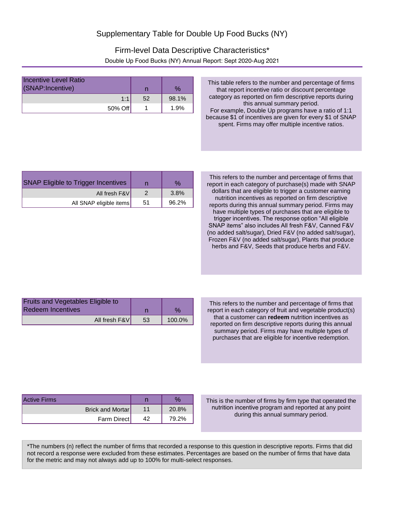## Firm-level Data Descriptive Characteristics\* Double Up Food Bucks (NY) Annual Report: Sept 2020-Aug 2021

| Incentive Level Ratio<br>(SNAP:Incentive) |    | $\%$  |
|-------------------------------------------|----|-------|
| 1:1                                       | 52 | 98.1% |
| 50% Off                                   |    | 1.9%  |

This table refers to the number and percentage of firms that report incentive ratio or discount percentage category as reported on firm descriptive reports during this annual summary period. For example, Double Up programs have a ratio of 1:1 because \$1 of incentives are given for every \$1 of SNAP spent. Firms may offer multiple incentive ratios.

| <b>SNAP Eligible to Trigger Incentives</b> |    | $\%$  |
|--------------------------------------------|----|-------|
| All fresh F&V                              |    | 3.8%  |
| All SNAP eligible items                    | 51 | 96.2% |

This refers to the number and percentage of firms that report in each category of purchase(s) made with SNAP dollars that are eligible to trigger a customer earning nutrition incentives as reported on firm descriptive reports during this annual summary period. Firms may have multiple types of purchases that are eligible to trigger incentives. The response option "All eligible SNAP items" also includes All fresh F&V, Canned F&V (no added salt/sugar), Dried F&V (no added salt/sugar), Frozen F&V (no added salt/sugar), Plants that produce herbs and F&V, Seeds that produce herbs and F&V.

| <b>Fruits and Vegetables Eligible to</b> |    |        |
|------------------------------------------|----|--------|
| Redeem Incentives                        |    |        |
| All fresh F&V                            | 53 | 100.0% |

This refers to the number and percentage of firms that report in each category of fruit and vegetable product(s) that a customer can **redeem** nutrition incentives as reported on firm descriptive reports during this annual summary period. Firms may have multiple types of purchases that are eligible for incentive redemption.

| Active Firms     |       |
|------------------|-------|
| Brick and Mortar | 20.8% |
| Farm Direct      | 79.2% |

This is the number of firms by firm type that operated the nutrition incentive program and reported at any point during this annual summary period.

\*The numbers (n) reflect the number of firms that recorded a response to this question in descriptive reports. Firms that did not record a response were excluded from these estimates. Percentages are based on the number of firms that have data for the metric and may not always add up to 100% for multi-select responses.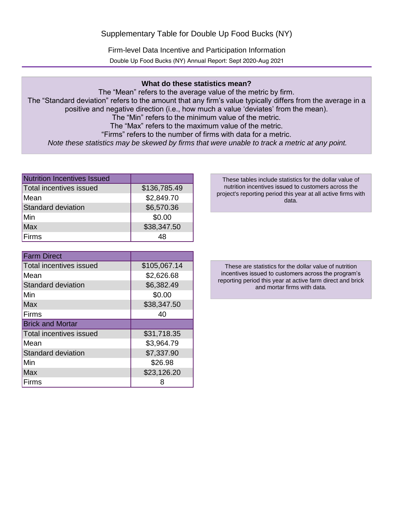Firm-level Data Incentive and Participation Information Double Up Food Bucks (NY) Annual Report: Sept 2020-Aug 2021

### **What do these statistics mean?**

The "Mean" refers to the average value of the metric by firm. The "Standard deviation" refers to the amount that any firm's value typically differs from the average in a positive and negative direction (i.e., how much a value 'deviates' from the mean). The "Min" refers to the minimum value of the metric. The "Max" refers to the maximum value of the metric. "Firms" refers to the number of firms with data for a metric. *Note these statistics may be skewed by firms that were unable to track a metric at any point.*

| Nutrition Incentives Issued |              |
|-----------------------------|--------------|
| Total incentives issued     | \$136,785.49 |
| Mean                        | \$2,849.70   |
| Standard deviation          | \$6,570.36   |
| lMin                        | \$0.00       |
| <b>Max</b>                  | \$38,347.50  |
| Firms                       | 48           |

| <b>Farm Direct</b>             |              |
|--------------------------------|--------------|
| <b>Total incentives issued</b> | \$105,067.14 |
| Mean                           | \$2,626.68   |
| <b>Standard deviation</b>      | \$6,382.49   |
| Min                            | \$0.00       |
| Max                            | \$38,347.50  |
| Firms                          | 40           |
| <b>Brick and Mortar</b>        |              |
| <b>Total incentives issued</b> | \$31,718.35  |
| Mean                           | \$3,964.79   |
| <b>Standard deviation</b>      | \$7,337.90   |
|                                |              |
| Min                            | \$26.98      |
| <b>Max</b>                     | \$23,126.20  |

These tables include statistics for the dollar value of nutrition incentives issued to customers across the project's reporting period this year at all active firms with data.

These are statistics for the dollar value of nutrition incentives issued to customers across the program's reporting period this year at active farm direct and brick and mortar firms with data.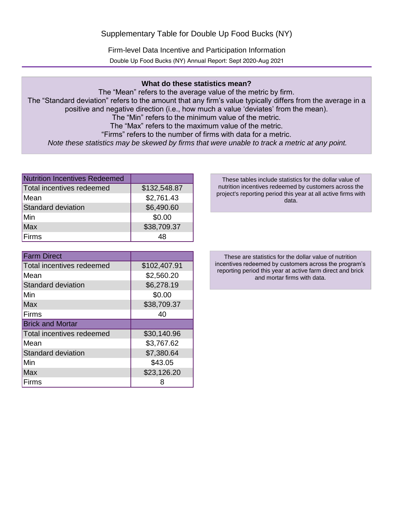Firm-level Data Incentive and Participation Information Double Up Food Bucks (NY) Annual Report: Sept 2020-Aug 2021

### **What do these statistics mean?**

The "Mean" refers to the average value of the metric by firm. The "Standard deviation" refers to the amount that any firm's value typically differs from the average in a positive and negative direction (i.e., how much a value 'deviates' from the mean). The "Min" refers to the minimum value of the metric. The "Max" refers to the maximum value of the metric. "Firms" refers to the number of firms with data for a metric. *Note these statistics may be skewed by firms that were unable to track a metric at any point.*

| Nutrition Incentives Redeemed |              |
|-------------------------------|--------------|
| Total incentives redeemed     | \$132,548.87 |
| Mean                          | \$2,761.43   |
| Standard deviation            | \$6,490.60   |
| lMin                          | \$0.00       |
| <b>Max</b>                    | \$38,709.37  |
| <b>Firms</b>                  | 48           |

| <b>Farm Direct</b>        |              |
|---------------------------|--------------|
| Total incentives redeemed | \$102,407.91 |
| Mean                      | \$2,560.20   |
| <b>Standard deviation</b> | \$6,278.19   |
| Min                       | \$0.00       |
| <b>Max</b>                | \$38,709.37  |
| Firms                     | 40           |
| <b>Brick and Mortar</b>   |              |
| Total incentives redeemed | \$30,140.96  |
| Mean                      | \$3,767.62   |
| <b>Standard deviation</b> | \$7,380.64   |
| Min                       | \$43.05      |
| Max                       | \$23,126.20  |
| Firms                     |              |

These tables include statistics for the dollar value of nutrition incentives redeemed by customers across the project's reporting period this year at all active firms with data.

These are statistics for the dollar value of nutrition incentives redeemed by customers across the program's reporting period this year at active farm direct and brick and mortar firms with data.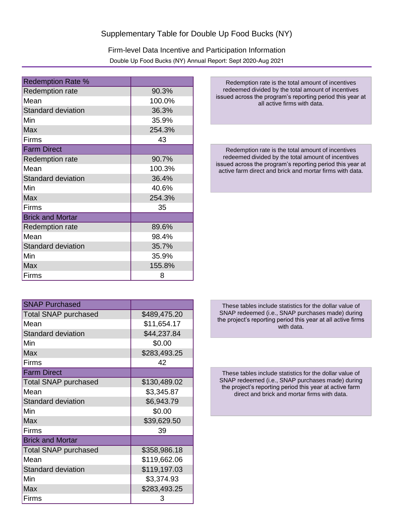Firm-level Data Incentive and Participation Information Double Up Food Bucks (NY) Annual Report: Sept 2020-Aug 2021

| <b>Redemption Rate %</b>  |        |
|---------------------------|--------|
| Redemption rate           | 90.3%  |
| Mean                      | 100.0% |
| <b>Standard deviation</b> | 36.3%  |
| Min                       | 35.9%  |
| <b>Max</b>                | 254.3% |
| Firms                     | 43     |
| <b>Farm Direct</b>        |        |
| <b>Redemption rate</b>    | 90.7%  |
| Mean                      | 100.3% |
| <b>Standard deviation</b> | 36.4%  |
| Min                       | 40.6%  |
| <b>Max</b>                | 254.3% |
| Firms                     | 35     |
| <b>Brick and Mortar</b>   |        |
| <b>Redemption rate</b>    | 89.6%  |
| Mean                      | 98.4%  |
| <b>Standard deviation</b> | 35.7%  |
| Min                       | 35.9%  |
| Max                       | 155.8% |
| Firms                     | 8      |

SNAP Purchased Total SNAP purchased <br> \$489,475.20 Mean 1.511,654.17 Standard deviation **\$44,237.84** Min \$0.00 Max **3283,493.25** Firms 42 Farm Direct Total SNAP purchased <br> \$130,489.02 Mean 1 \$3,345.87 Standard deviation **\$6,943.79** Min \$0.00 Max 839.629.50 Firms 39 Brick and Mortar Total SNAP purchased <br> \$358,986.18 Mean **1** \$119,662.06 Standard deviation **\$119,197.03** Min 83,374.93 Max **3283,493.25** Firms 3

Redemption rate is the total amount of incentives redeemed divided by the total amount of incentives issued across the program's reporting period this year at all active firms with data.

Redemption rate is the total amount of incentives redeemed divided by the total amount of incentives issued across the program's reporting period this year at active farm direct and brick and mortar firms with data.

These tables include statistics for the dollar value of SNAP redeemed (i.e., SNAP purchases made) during the project's reporting period this year at all active firms with data.

These tables include statistics for the dollar value of SNAP redeemed (i.e., SNAP purchases made) during the project's reporting period this year at active farm direct and brick and mortar firms with data.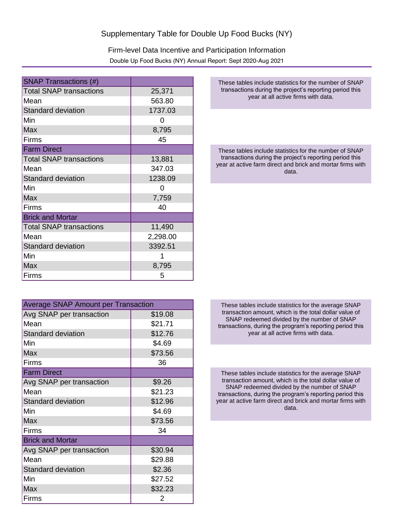Firm-level Data Incentive and Participation Information Double Up Food Bucks (NY) Annual Report: Sept 2020-Aug 2021

| <b>SNAP Transactions (#)</b>   |          |
|--------------------------------|----------|
| <b>Total SNAP transactions</b> | 25,371   |
| Mean                           | 563.80   |
| <b>Standard deviation</b>      | 1737.03  |
| Min                            | O        |
| Max                            | 8,795    |
| Firms                          | 45       |
| <b>Farm Direct</b>             |          |
| <b>Total SNAP transactions</b> | 13,881   |
| Mean                           | 347.03   |
| <b>Standard deviation</b>      | 1238.09  |
| Min                            | O        |
| <b>Max</b>                     | 7,759    |
| Firms                          | 40       |
| <b>Brick and Mortar</b>        |          |
| <b>Total SNAP transactions</b> | 11,490   |
| Mean                           | 2,298.00 |
| <b>Standard deviation</b>      | 3392.51  |
| Min                            |          |
| <b>Max</b>                     | 8,795    |
| Firms                          | 5        |

| <b>Average SNAP Amount per Transaction</b> |         |  |
|--------------------------------------------|---------|--|
| Avg SNAP per transaction                   | \$19.08 |  |
| Mean                                       | \$21.71 |  |
| <b>Standard deviation</b>                  | \$12.76 |  |
| Min                                        | \$4.69  |  |
| Max                                        | \$73.56 |  |
| Firms                                      | 36      |  |
| <b>Farm Direct</b>                         |         |  |
| Avg SNAP per transaction                   | \$9.26  |  |
| Mean                                       | \$21.23 |  |
| <b>Standard deviation</b>                  | \$12.96 |  |
| Min                                        | \$4.69  |  |
| <b>Max</b>                                 | \$73.56 |  |
| Firms                                      | 34      |  |
| <b>Brick and Mortar</b>                    |         |  |
| Avg SNAP per transaction                   | \$30.94 |  |
| Mean                                       | \$29.88 |  |
| <b>Standard deviation</b>                  | \$2.36  |  |
| Min                                        | \$27.52 |  |
| <b>Max</b>                                 | \$32.23 |  |
| Firms                                      | 2       |  |

These tables include statistics for the number of SNAP transactions during the project's reporting period this year at all active firms with data.

These tables include statistics for the number of SNAP transactions during the project's reporting period this year at active farm direct and brick and mortar firms with data.

These tables include statistics for the average SNAP transaction amount, which is the total dollar value of SNAP redeemed divided by the number of SNAP transactions, during the program's reporting period this year at all active firms with data.

These tables include statistics for the average SNAP transaction amount, which is the total dollar value of SNAP redeemed divided by the number of SNAP transactions, during the program's reporting period this year at active farm direct and brick and mortar firms with data.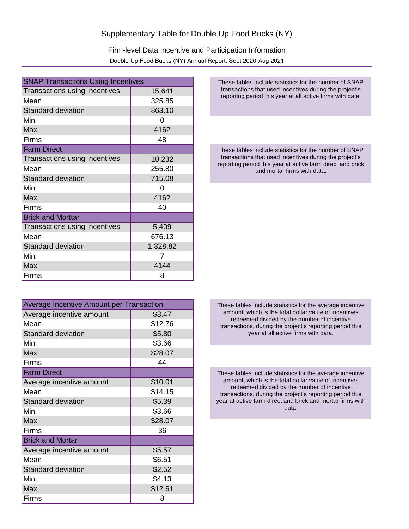Firm-level Data Incentive and Participation Information Double Up Food Bucks (NY) Annual Report: Sept 2020-Aug 2021

| <b>SNAP Transactions Using Incentives</b> |          |
|-------------------------------------------|----------|
| Transactions using incentives             | 15,641   |
| Mean                                      | 325.85   |
| <b>Standard deviation</b>                 | 863.10   |
| Min                                       | O        |
| <b>Max</b>                                | 4162     |
| Firms                                     | 48       |
| <b>Farm Direct</b>                        |          |
| Transactions using incentives             | 10,232   |
| Mean                                      | 255.80   |
| <b>Standard deviation</b>                 | 715.08   |
| Min                                       | O        |
| Max                                       | 4162     |
| Firms                                     | 40       |
| <b>Brick and Morttar</b>                  |          |
| Transactions using incentives             | 5,409    |
| Mean                                      | 676.13   |
| <b>Standard deviation</b>                 | 1,328.82 |
| Min                                       | 7        |
| Max                                       | 4144     |
| Firms                                     | 8        |

| Average Incentive Amount per Transaction |         |
|------------------------------------------|---------|
| Average incentive amount                 | \$8.47  |
| Mean                                     | \$12.76 |
| <b>Standard deviation</b>                | \$5.80  |
| Min                                      | \$3.66  |
| Max                                      | \$28.07 |
| Firms                                    | 44      |
| <b>Farm Direct</b>                       |         |
| Average incentive amount                 | \$10.01 |
| Mean                                     | \$14.15 |
| <b>Standard deviation</b>                | \$5.39  |
| Min                                      | \$3.66  |
| Max                                      | \$28.07 |
| Firms                                    | 36      |
| <b>Brick and Mortar</b>                  |         |
| Average incentive amount                 | \$5.57  |
| Mean                                     | \$6.51  |
| <b>Standard deviation</b>                | \$2.52  |
| Min                                      | \$4.13  |
| <b>Max</b>                               | \$12.61 |
| Firms                                    | 8       |

These tables include statistics for the number of SNAP transactions that used incentives during the project's reporting period this year at all active firms with data.

These tables include statistics for the number of SNAP transactions that used incentives during the project's reporting period this year at active farm direct and brick and mortar firms with data.

These tables include statistics for the average incentive amount, which is the total dollar value of incentives redeemed divided by the number of incentive transactions, during the project's reporting period this year at all active firms with data.

These tables include statistics for the average incentive amount, which is the total dollar value of incentives redeemed divided by the number of incentive transactions, during the project's reporting period this year at active farm direct and brick and mortar firms with data.